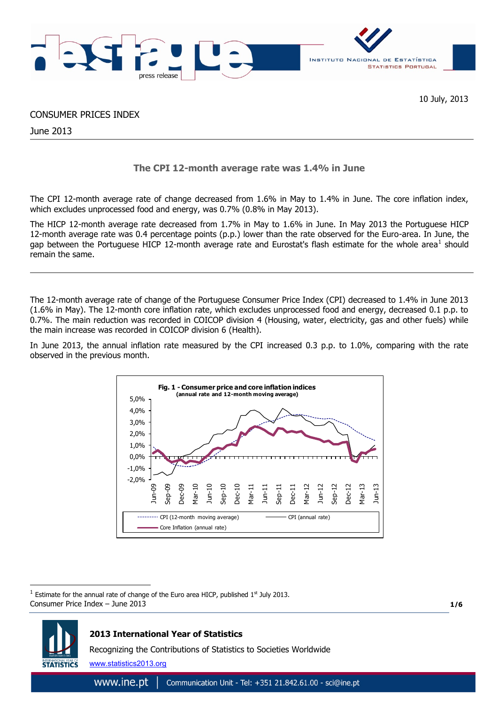

10 July, 2013

## CONSUMER PRICES INDEX

June 2013

# **The CPI 12-month average rate was 1.4% in June**

The CPI 12-month average rate of change decreased from 1.6% in May to 1.4% in June. The core inflation index, which excludes unprocessed food and energy, was 0.7% (0.8% in May 2013).

The HICP 12-month average rate decreased from 1.7% in May to 1.6% in June. In May 2013 the Portuguese HICP 12-month average rate was 0.4 percentage points (p.p.) lower than the rate observed for the Euro-area. In June, the gap between the Portuguese HICP 12-month average rate and Eurostat's flash estimate for the whole area<sup>1</sup> should remain the same.

The 12-month average rate of change of the Portuguese Consumer Price Index (CPI) decreased to 1.4% in June 2013 (1.6% in May). The 12-month core inflation rate, which excludes unprocessed food and energy, decreased 0.1 p.p. to 0.7%. The main reduction was recorded in COICOP division 4 (Housing, water, electricity, gas and other fuels) while the main increase was recorded in COICOP division 6 (Health).

In June 2013, the annual inflation rate measured by the CPI increased 0.3 p.p. to 1.0%, comparing with the rate observed in the previous month.



Consumer Price Index – June 2013  $1$  Estimate for the annual rate of change of the Euro area HICP, published  $1<sup>st</sup>$  July 2013.

**1/6**



1

# **2013 International Year of Statistics**

Recognizing the Contributions of Statistics to Societies Worldwide

www.statistics2013.org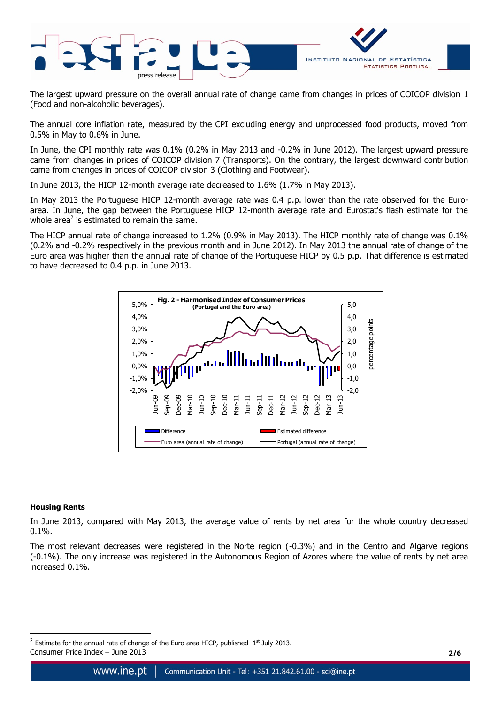

The largest upward pressure on the overall annual rate of change came from changes in prices of COICOP division 1 (Food and non-alcoholic beverages).

The annual core inflation rate, measured by the CPI excluding energy and unprocessed food products, moved from 0.5% in May to 0.6% in June.

In June, the CPI monthly rate was 0.1% (0.2% in May 2013 and -0.2% in June 2012). The largest upward pressure came from changes in prices of COICOP division 7 (Transports). On the contrary, the largest downward contribution came from changes in prices of COICOP division 3 (Clothing and Footwear).

In June 2013, the HICP 12-month average rate decreased to 1.6% (1.7% in May 2013).

In May 2013 the Portuguese HICP 12-month average rate was 0.4 p.p. lower than the rate observed for the Euroarea. In June, the gap between the Portuguese HICP 12-month average rate and Eurostat's flash estimate for the whole area<sup>2</sup> is estimated to remain the same.

The HICP annual rate of change increased to 1.2% (0.9% in May 2013). The HICP monthly rate of change was 0.1% (0.2% and -0.2% respectively in the previous month and in June 2012). In May 2013 the annual rate of change of the Euro area was higher than the annual rate of change of the Portuguese HICP by 0.5 p.p. That difference is estimated to have decreased to 0.4 p.p. in June 2013.



### **Housing Rents**

<u>.</u>

In June 2013, compared with May 2013, the average value of rents by net area for the whole country decreased 0.1%.

The most relevant decreases were registered in the Norte region (-0.3%) and in the Centro and Algarve regions (-0.1%). The only increase was registered in the Autonomous Region of Azores where the value of rents by net area increased 0.1%.

Consumer Price Index – June 2013 **2/6** <sup>2</sup> Estimate for the annual rate of change of the Euro area HICP, published  $1<sup>st</sup>$  July 2013.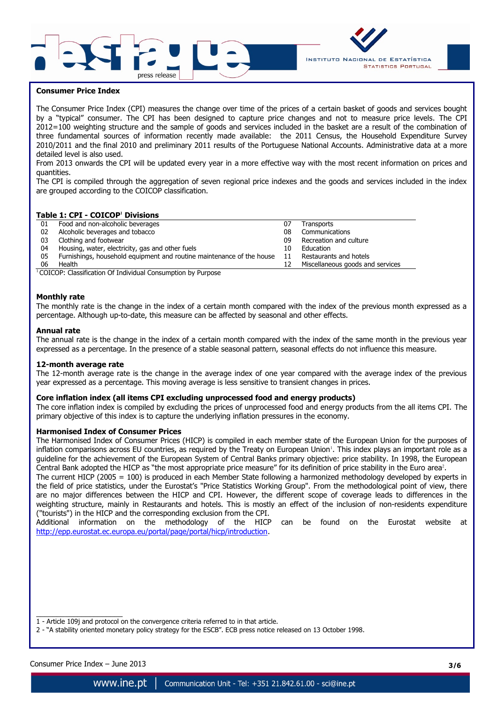



### **Consumer Price Index**

The Consumer Price Index (CPI) measures the change over time of the prices of a certain basket of goods and services bought by a "typical" consumer. The CPI has been designed to capture price changes and not to measure price levels. The CPI 2012=100 weighting structure and the sample of goods and services included in the basket are a result of the combination of three fundamental sources of information recently made available: the 2011 Census, the Household Expenditure Survey 2010/2011 and the final 2010 and preliminary 2011 results of the Portuguese National Accounts. Administrative data at a more detailed level is also used.

From 2013 onwards the CPI will be updated every year in a more effective way with the most recent information on prices and quantities.

The CPI is compiled through the aggregation of seven regional price indexes and the goods and services included in the index are grouped according to the COICOP classification.

## **Table 1: CPI - COICOP<sup>1</sup> Divisions**

| 01 | Food and non-alcoholic beverages                                      | 07 | Transports                       |
|----|-----------------------------------------------------------------------|----|----------------------------------|
| 02 | Alcoholic beverages and tobacco                                       | 08 | Communications                   |
| 03 | Clothing and footwear                                                 | 09 | Recreation and culture           |
| 04 | Housing, water, electricity, gas and other fuels                      | 10 | Education                        |
| 05 | Furnishings, household equipment and routine maintenance of the house | 11 | Restaurants and hotels           |
| 06 | Health                                                                | 12 | Miscellaneous goods and services |

 $1$ COICOP: Classification Of Individual Consumption by Purpose

#### **Monthly rate**

The monthly rate is the change in the index of a certain month compared with the index of the previous month expressed as a percentage. Although up-to-date, this measure can be affected by seasonal and other effects.

#### **Annual rate**

The annual rate is the change in the index of a certain month compared with the index of the same month in the previous year expressed as a percentage. In the presence of a stable seasonal pattern, seasonal effects do not influence this measure.

#### **12-month average rate**

The 12-month average rate is the change in the average index of one year compared with the average index of the previous year expressed as a percentage. This moving average is less sensitive to transient changes in prices.

### **Core inflation index (all items CPI excluding unprocessed food and energy products)**

The core inflation index is compiled by excluding the prices of unprocessed food and energy products from the all items CPI. The primary objective of this index is to capture the underlying inflation pressures in the economy.

### **Harmonised Index of Consumer Prices**

The Harmonised Index of Consumer Prices (HICP) is compiled in each member state of the European Union for the purposes of inflation comparisons across EU countries, as required by the Treaty on European Union<sup>1</sup>. This index plays an important role as a guideline for the achievement of the European System of Central Banks primary objective: price stability. In 1998, the European Central Bank adopted the HICP as "the most appropriate price measure" for its definition of price stability in the Euro area<sup>2</sup>.

The current HICP (2005 = 100) is produced in each Member State following a harmonized methodology developed by experts in the field of price statistics, under the Eurostat's "Price Statistics Working Group". From the methodological point of view, there are no major differences between the HICP and CPI. However, the different scope of coverage leads to differences in the weighting structure, mainly in Restaurants and hotels. This is mostly an effect of the inclusion of non-residents expenditure ("tourists") in the HICP and the corresponding exclusion from the CPI.

Additional information on the methodology of the HICP can be found on the Eurostat website at [http://epp.eurostat.ec.europa.eu/portal/page/portal/hicp/introduction.](http://epp.eurostat.ec.europa.eu/portal/page/portal/hicp/introduction)

- 1 Article 109j and protocol on the convergence criteria referred to in that article.
- 2 "A stability oriented monetary policy strategy for the ESCB". ECB press notice released on 13 October 1998.

Consumer Price Index – June 2013 **3/6**

 $\overline{\phantom{a}}$  , where  $\overline{\phantom{a}}$  , where  $\overline{\phantom{a}}$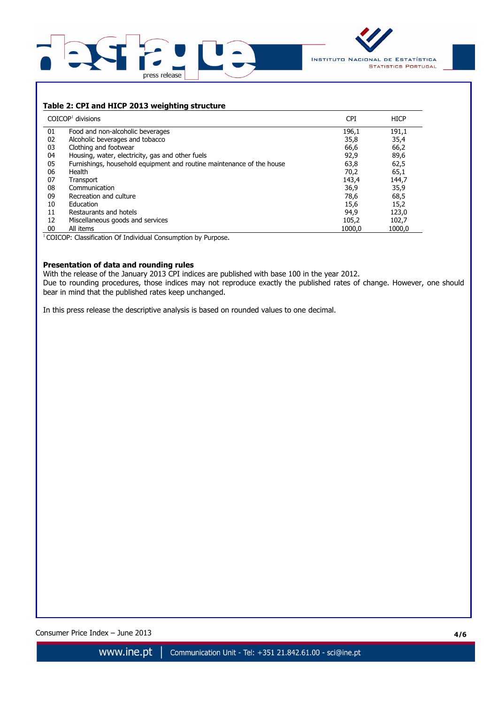



# **Table 2: CPI and HICP 2013 weighting structure**

|    | $COICOP1$ divisions                                                   | <b>CPI</b> | <b>HICP</b> |
|----|-----------------------------------------------------------------------|------------|-------------|
| 01 | Food and non-alcoholic beverages                                      | 196,1      | 191,1       |
| 02 | Alcoholic beverages and tobacco                                       | 35,8       | 35,4        |
| 03 | Clothing and footwear                                                 | 66,6       | 66,2        |
| 04 | Housing, water, electricity, gas and other fuels                      | 92,9       | 89,6        |
| 05 | Furnishings, household equipment and routine maintenance of the house | 63,8       | 62,5        |
| 06 | Health                                                                | 70,2       | 65,1        |
| 07 | Transport                                                             | 143,4      | 144,7       |
| 08 | Communication                                                         | 36,9       | 35,9        |
| 09 | Recreation and culture                                                | 78,6       | 68,5        |
| 10 | Education                                                             | 15,6       | 15,2        |
| 11 | Restaurants and hotels                                                | 94,9       | 123,0       |
| 12 | Miscellaneous goods and services                                      | 105,2      | 102,7       |
| 00 | All items                                                             | 1000.0     | 1000.0      |

<sup>1</sup> COICOP: Classification Of Individual Consumption by Purpose.

### **Presentation of data and rounding rules**

With the release of the January 2013 CPI indices are published with base 100 in the year 2012. Due to rounding procedures, those indices may not reproduce exactly the published rates of change. However, one should bear in mind that the published rates keep unchanged.

In this press release the descriptive analysis is based on rounded values to one decimal.

Consumer Price Index – June 2013 **4/6**

Communication Unit - Tel: +351 21.842.61.00 - sci@ine.pt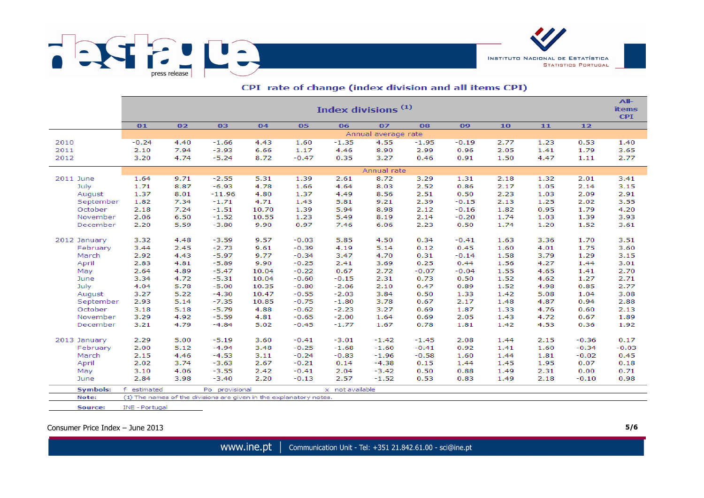

|                 | All-<br>Index divisions <sup>(1)</sup><br><b>items</b> |                                                                  |                                                                    |       |         |                 |         |         |         |      |      |         |            |  |  |
|-----------------|--------------------------------------------------------|------------------------------------------------------------------|--------------------------------------------------------------------|-------|---------|-----------------|---------|---------|---------|------|------|---------|------------|--|--|
|                 |                                                        |                                                                  |                                                                    |       |         |                 |         |         |         |      |      |         | <b>CPI</b> |  |  |
|                 | 01                                                     | 07<br>02<br>03<br>04<br>05<br>06<br>08<br>09<br>10<br>11<br>$12$ |                                                                    |       |         |                 |         |         |         |      |      |         |            |  |  |
|                 | Annual average rate                                    |                                                                  |                                                                    |       |         |                 |         |         |         |      |      |         |            |  |  |
| 2010            | $-0.24$                                                | 4.40                                                             | $-1.66$                                                            | 4.43  | 1.60    | $-1.35$         | 4.55    | $-1.95$ | $-0.19$ | 2.77 | 1.23 | 0.53    | 1.40       |  |  |
| 2011            | 2.10                                                   | 7.94                                                             | $-3.93$                                                            | 6.66  | 1.17    | 4.46            | 8.90    | 2.99    | 0.96    | 2.05 | 1.41 | 1.79    | 3.65       |  |  |
| 2012            | 3.20                                                   | 4.74                                                             | $-5.24$                                                            | 8.72  | $-0.47$ | 0.35            | 3.27    | 0.46    | 0.91    | 1.50 | 4.47 | 1.11    | 2.77       |  |  |
|                 | Annual rate                                            |                                                                  |                                                                    |       |         |                 |         |         |         |      |      |         |            |  |  |
| 2011 June       | 1.64                                                   | 9.71                                                             | $-2.55$                                                            | 5.31  | 1.39    | 2.61            | 8.72    | 3.29    | 1.31    | 2.18 | 1.32 | 2.01    | 3.41       |  |  |
| July            | 1.71                                                   | 8.87                                                             | $-6.93$                                                            | 4.78  | 1.66    | 4.64            | 8.03    | 2.52    | 0.86    | 2.17 | 1.05 | 2.14    | 3.15       |  |  |
| August          | 1.37                                                   | 8.01                                                             | $-11.96$                                                           | 4.80  | 1.37    | 4.49            | 8.56    | 2.51    | 0.50    | 2.23 | 1.03 | 2.09    | 2.91       |  |  |
| September       | 1.82                                                   | 7.34                                                             | $-1.71$                                                            | 4.71  | 1.43    | 5.81            | 9.21    | 2.39    | $-0.15$ | 2.13 | 1.25 | 2.02    | 3.55       |  |  |
| October         | 2.18                                                   | 7.24                                                             | $-1.51$                                                            | 10.70 | 1.39    | 5.94            | 8.98    | 2.12    | $-0.16$ | 1.82 | 0.95 | 1.79    | 4.20       |  |  |
| November        | 2.06                                                   | 6.50                                                             | $-1.52$                                                            | 10.55 | 1.23    | 5.49            | 8.19    | 2.14    | $-0.20$ | 1.74 | 1.03 | 1.39    | 3.93       |  |  |
| December        | 2.20                                                   | 5.59                                                             | $-3.80$                                                            | 9.90  | 0.97    | 7.46            | 6.06    | 2.23    | 0.50    | 1.74 | 1.20 | 1.52    | 3.61       |  |  |
|                 |                                                        |                                                                  |                                                                    |       |         |                 |         |         |         |      |      |         |            |  |  |
| 2012 January    | 3.32                                                   | 4.48                                                             | $-3.59$                                                            | 9.57  | $-0.03$ | 5.85            | 4.50    | 0.34    | $-0.41$ | 1.63 | 3.36 | 1.70    | 3.51       |  |  |
| February        | 3.44                                                   | 2.45                                                             | $-2.73$                                                            | 9.61  | $-0.39$ | 4.19            | 5.14    | 0.12    | 0.45    | 1.60 | 4.01 | 1.75    | 3.60       |  |  |
| March           | 2.92                                                   | 4.43                                                             | $-5.97$                                                            | 9.77  | $-0.34$ | 3.47            | 4.70    | 0.31    | $-0.14$ | 1.58 | 3.79 | 1.29    | 3.15       |  |  |
| April           | 2.83                                                   | 4.81                                                             | $-5.89$                                                            | 9.90  | $-0.25$ | 2.41            | 3.69    | 0.25    | 0.44    | 1.56 | 4.27 | 1.44    | 3.01       |  |  |
| May             | 2.64                                                   | 4.89                                                             | $-5.47$                                                            | 10.04 | $-0.22$ | 0.67            | 2.72    | $-0.07$ | $-0.04$ | 1.55 | 4.65 | 1.41    | 2.70       |  |  |
| June            | 3.34                                                   | 4.72                                                             | $-5.31$                                                            | 10.04 | $-0.60$ | $-0.15$         | 2.31    | 0.73    | 0.50    | 1.52 | 4.62 | 1.27    | 2.71       |  |  |
| July            | 4.04                                                   | 5.78                                                             | $-5.00$                                                            | 10.35 | $-0.80$ | $-2.06$         | 2.10    | 0.47    | 0.89    | 1.52 | 4.98 | 0.85    | 2.77       |  |  |
| August          | 3.27                                                   | 5.22                                                             | $-4.30$                                                            | 10.47 | $-0.55$ | $-2.03$         | 3.84    | 0.50    | 1.33    | 1.42 | 5.08 | 1.04    | 3.08       |  |  |
| September       | 2.93                                                   | 5.14<br>$-7.35$<br>10.85                                         |                                                                    |       | $-0.75$ | $-1.80$         | 3.78    | 0.67    | 2.17    | 1.48 | 4.87 | 0.94    | 2.88       |  |  |
| October         | 3.18                                                   | 5.18                                                             | $-5.79$                                                            | 4.88  | $-0.62$ | $-2.23$         | 3.27    | 0.69    | 1.87    | 1.33 | 4.76 | 0.60    | 2.13       |  |  |
| November        | 3.29                                                   | 4.92                                                             | $-5.59$                                                            | 4.81  | $-0.65$ | $-2.00$         | 1.64    | 0.69    | 2.05    | 1.43 | 4.72 | 0.67    | 1.89       |  |  |
| December        | 3.21                                                   | 4.79                                                             | $-4.84$                                                            | 5.02  | $-0.45$ | $-1.77$         | 1.67    | 0.78    | 1.81    | 1.42 | 4.53 | 0.36    | 1.92       |  |  |
| 2013 January    | 2.29                                                   | 5.00                                                             | $-5.19$                                                            | 3.60  | $-0.41$ | $-3.01$         | $-1.42$ | $-1.45$ | 2.08    | 1.44 | 2.15 | $-0.36$ | 0.17       |  |  |
| February        | 2.00                                                   | 5.12                                                             | $-4.94$                                                            | 3.48  | $-0.25$ | $-1.68$         | $-1.60$ | $-0.41$ | 0.92    | 1.41 | 1.60 | $-0.34$ | $-0.03$    |  |  |
| March           | 2.15                                                   | 4.46                                                             | $-4.53$                                                            | 3.11  | $-0.24$ | $-0.83$         | $-1.96$ | $-0.58$ | 1.60    | 1.44 | 1.81 | $-0.02$ | 0.45       |  |  |
| April           | 2.02                                                   | 3.74                                                             | $-3.63$                                                            | 2.67  | $-0.21$ | 0.14            | $-4.38$ | 0.15    | 1.44    | 1.45 | 1.95 | 0.07    | 0.18       |  |  |
| May             | 3.10                                                   | 4.06                                                             | $-3.55$                                                            | 2.42  | $-0.41$ | 2.04            | $-3.42$ | 0.50    | 0.88    | 1.49 | 2.31 | 0.00    | 0.71       |  |  |
| June            | 2.84                                                   | 3.98                                                             | $-3.40$                                                            | 2.20  | $-0.13$ | 2.57            | $-1.52$ | 0.53    | 0.83    | 1.49 | 2.18 | $-0.10$ | 0.98       |  |  |
| <b>Symbols:</b> | f.<br>estimated                                        |                                                                  | Po provisional                                                     |       |         | x not available |         |         |         |      |      |         |            |  |  |
| Note:           |                                                        |                                                                  | (1) The names of the divisions are given in the explanatory notes. |       |         |                 |         |         |         |      |      |         |            |  |  |

## CPI rate of change (index division and all items CPI)

INE - Portugal

Consumer Price Index – June 2013 **5/6**

Source:

www.ine.pt | Communication Unit - Tel: +351 21.842.61.00 - sci@ine.pt

INSTITUTO NACIONAL DE ESTATÍSTICA

**STATISTICS PORTUGAL**